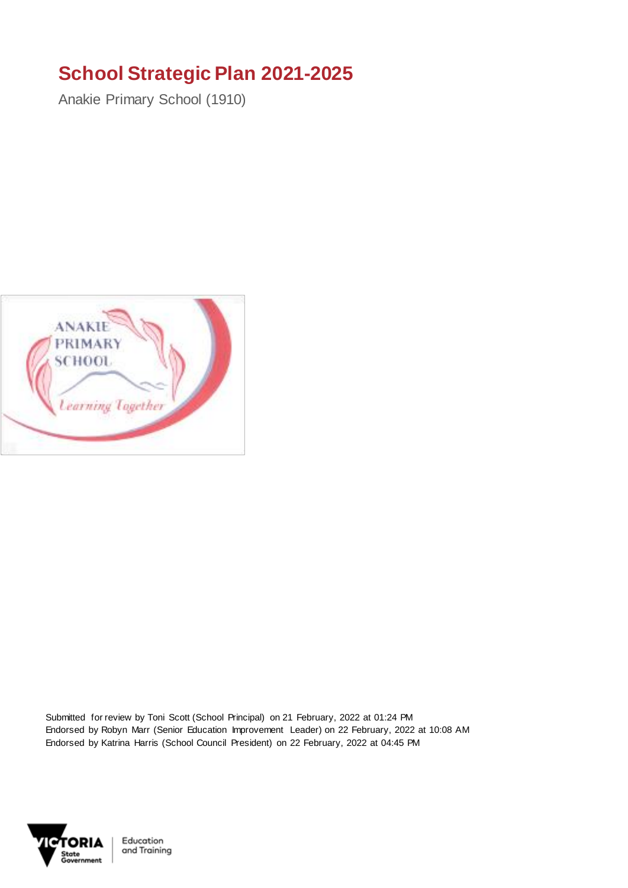## **School Strategic Plan 2021-2025**

Anakie Primary School (1910)



Submitted for review by Toni Scott (School Principal) on 21 February, 2022 at 01:24 PM Endorsed by Robyn Marr (Senior Education Improvement Leader) on 22 February, 2022 at 10:08 AM Endorsed by Katrina Harris (School Council President) on 22 February, 2022 at 04:45 PM

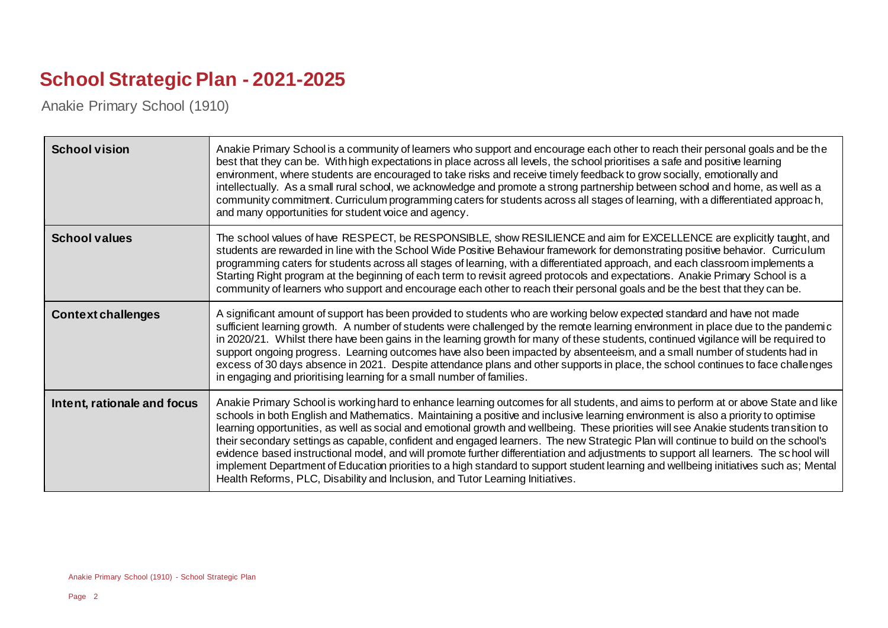## **School Strategic Plan - 2021-2025**

Anakie Primary School (1910)

| <b>School vision</b>        | Anakie Primary School is a community of learners who support and encourage each other to reach their personal goals and be the<br>best that they can be. With high expectations in place across all levels, the school prioritises a safe and positive learning<br>environment, where students are encouraged to take risks and receive timely feedback to grow socially, emotionally and<br>intellectually. As a small rural school, we acknowledge and promote a strong partnership between school and home, as well as a<br>community commitment. Curriculum programming caters for students across all stages of learning, with a differentiated approach,<br>and many opportunities for student voice and agency.                                                                                                                                                                                                      |
|-----------------------------|-----------------------------------------------------------------------------------------------------------------------------------------------------------------------------------------------------------------------------------------------------------------------------------------------------------------------------------------------------------------------------------------------------------------------------------------------------------------------------------------------------------------------------------------------------------------------------------------------------------------------------------------------------------------------------------------------------------------------------------------------------------------------------------------------------------------------------------------------------------------------------------------------------------------------------|
| <b>School values</b>        | The school values of have RESPECT, be RESPONSIBLE, show RESILIENCE and aim for EXCELLENCE are explicitly taught, and<br>students are rewarded in line with the School Wide Positive Behaviour framework for demonstrating positive behavior. Curriculum<br>programming caters for students across all stages of learning, with a differentiated approach, and each classroom implements a<br>Starting Right program at the beginning of each term to revisit agreed protocols and expectations. Anakie Primary School is a<br>community of learners who support and encourage each other to reach their personal goals and be the best that they can be.                                                                                                                                                                                                                                                                    |
| <b>Context challenges</b>   | A significant amount of support has been provided to students who are working below expected standard and have not made<br>sufficient learning growth. A number of students were challenged by the remote learning environment in place due to the pandemic<br>in 2020/21. Whilst there have been gains in the learning growth for many of these students, continued vigilance will be required to<br>support ongoing progress. Learning outcomes have also been impacted by absenteeism, and a small number of students had in<br>excess of 30 days absence in 2021. Despite attendance plans and other supports in place, the school continues to face challenges<br>in engaging and prioritising learning for a small number of families.                                                                                                                                                                                |
| Intent, rationale and focus | Anakie Primary School is working hard to enhance learning outcomes for all students, and aims to perform at or above State and like<br>schools in both English and Mathematics. Maintaining a positive and inclusive learning environment is also a priority to optimise<br>learning opportunities, as well as social and emotional growth and wellbeing. These priorities will see Anakie students transition to<br>their secondary settings as capable, confident and engaged learners. The new Strategic Plan will continue to build on the school's<br>evidence based instructional model, and will promote further differentiation and adjustments to support all learners. The school will<br>implement Department of Education priorities to a high standard to support student learning and wellbeing initiatives such as; Mental<br>Health Reforms, PLC, Disability and Inclusion, and Tutor Learning Initiatives. |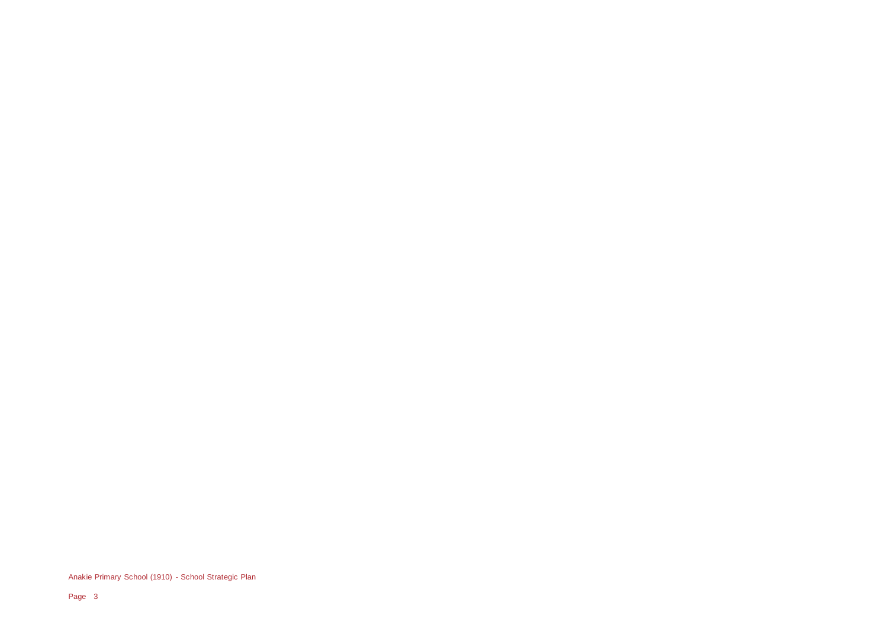## Anakie Primary School (1910) - School Strategic Plan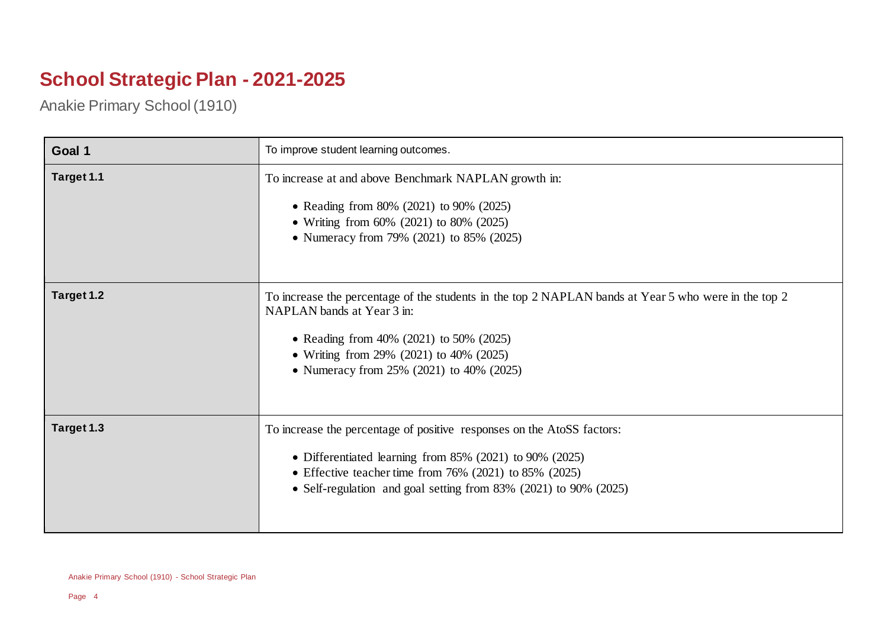## **School Strategic Plan - 2021-2025**

Anakie Primary School (1910)

| Goal 1     | To improve student learning outcomes.                                                                                                                                                                                                                                |
|------------|----------------------------------------------------------------------------------------------------------------------------------------------------------------------------------------------------------------------------------------------------------------------|
| Target 1.1 | To increase at and above Benchmark NAPLAN growth in:<br>• Reading from 80% (2021) to 90% (2025)<br>• Writing from 60% (2021) to 80% (2025)<br>• Numeracy from 79% (2021) to 85% (2025)                                                                               |
| Target 1.2 | To increase the percentage of the students in the top 2 NAPLAN bands at Year 5 who were in the top 2<br>NAPLAN bands at Year 3 in:<br>• Reading from 40% (2021) to 50% (2025)<br>• Writing from 29% (2021) to 40% (2025)<br>• Numeracy from 25% (2021) to 40% (2025) |
| Target 1.3 | To increase the percentage of positive responses on the AtoSS factors:<br>• Differentiated learning from 85% (2021) to 90% (2025)<br>• Effective teacher time from $76\%$ (2021) to 85% (2025)<br>• Self-regulation and goal setting from 83% (2021) to 90% (2025)   |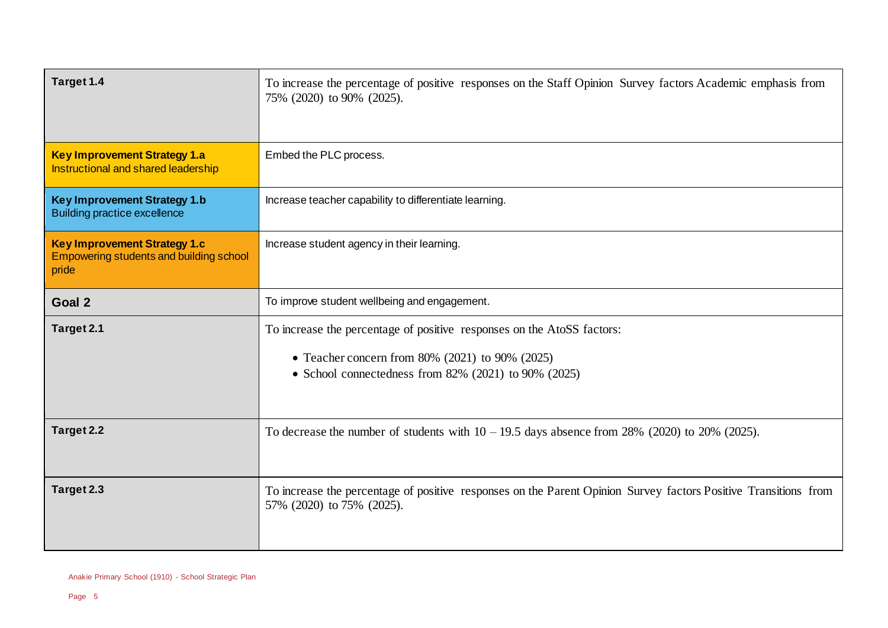| Target 1.4                                                                              | To increase the percentage of positive responses on the Staff Opinion Survey factors Academic emphasis from<br>75% (2020) to 90% (2025).                                             |
|-----------------------------------------------------------------------------------------|--------------------------------------------------------------------------------------------------------------------------------------------------------------------------------------|
| <b>Key Improvement Strategy 1.a</b><br>Instructional and shared leadership              | Embed the PLC process.                                                                                                                                                               |
| <b>Key Improvement Strategy 1.b</b><br><b>Building practice excellence</b>              | Increase teacher capability to differentiate learning.                                                                                                                               |
| <b>Key Improvement Strategy 1.c</b><br>Empowering students and building school<br>pride | Increase student agency in their learning.                                                                                                                                           |
| Goal 2                                                                                  | To improve student wellbeing and engagement.                                                                                                                                         |
| Target 2.1                                                                              | To increase the percentage of positive responses on the AtoSS factors:<br>• Teacher concern from 80% (2021) to 90% (2025)<br>• School connectedness from $82\%$ (2021) to 90% (2025) |
| Target 2.2                                                                              | To decrease the number of students with $10 - 19.5$ days absence from 28% (2020) to 20% (2025).                                                                                      |
| Target 2.3                                                                              | To increase the percentage of positive responses on the Parent Opinion Survey factors Positive Transitions from<br>57% (2020) to 75% (2025).                                         |